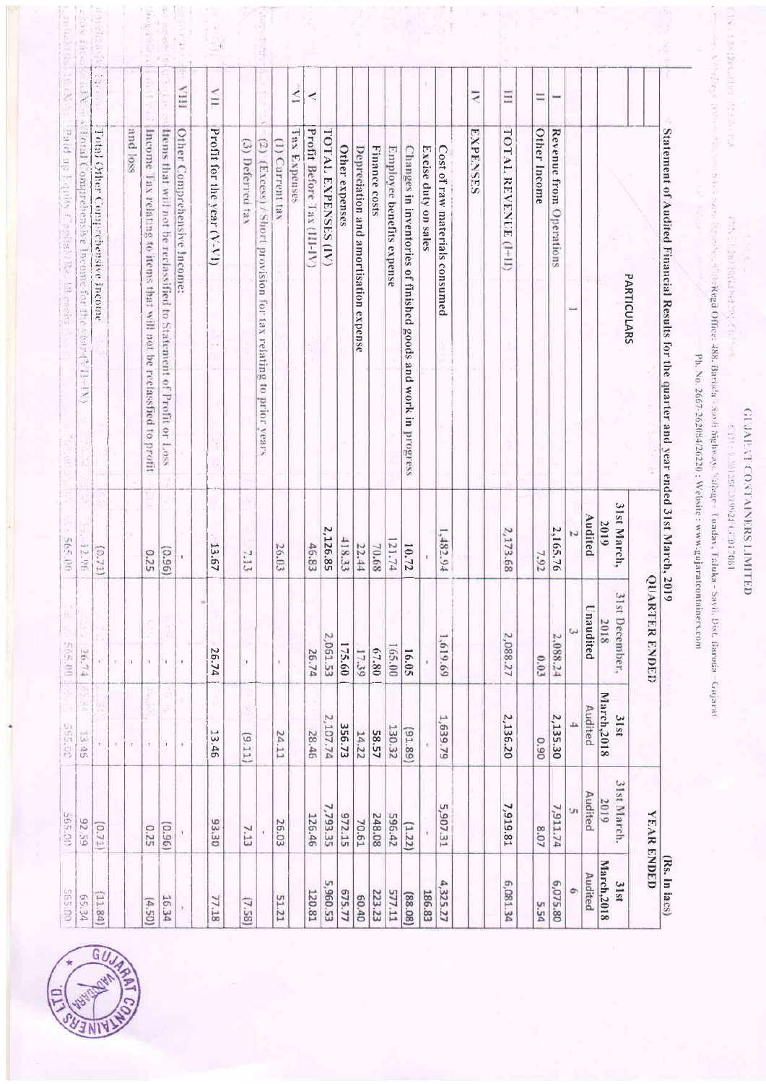| 65126<br>93.30<br>(0.71)<br>(0.96)<br>7.13<br>0.25<br>001595<br>(11.84)<br>105.34<br>16.34<br>77.18<br>(659) | 定定<br><b>S65.00</b><br>13.45 | į,<br>565.00<br>26.74 | 565.00<br>12.96 | Total Comprehensive Income for the 1street<br><b>WEET!</b>                        | $\sim$                  |                |
|--------------------------------------------------------------------------------------------------------------|------------------------------|-----------------------|-----------------|-----------------------------------------------------------------------------------|-------------------------|----------------|
|                                                                                                              |                              |                       |                 |                                                                                   |                         |                |
|                                                                                                              |                              | $\tilde{\mathbf{e}}$  | (5.71)          | Total Other Comprehensive Income                                                  |                         | $\ddot{\cdot}$ |
|                                                                                                              | $\mathbf{r}_i$               | 'n,                   |                 |                                                                                   |                         |                |
|                                                                                                              |                              | 'n.                   |                 |                                                                                   | and loss                |                |
|                                                                                                              |                              | ă.<br>Y.              | 0.25            | Income Tax relating to items that will not be reclassfied to profit               |                         |                |
|                                                                                                              | ¥,                           | W.                    | $(96^{\circ}0)$ | trens that will not be reclassified to Statement of Profit or Loss                |                         |                |
|                                                                                                              | O.                           | ٠                     |                 | Other Comprehensive Income:                                                       | ITIA                    |                |
|                                                                                                              |                              | w                     |                 |                                                                                   |                         |                |
| (7.58)                                                                                                       | 13.46                        | 26.74                 | 13.67           | Profit for the year (V-VI)                                                        | $\overline{\mathbf{H}}$ |                |
|                                                                                                              | S,<br>(9.11)                 | $\mathbf{I}$          | 7.13            | (3) Deferred tax                                                                  |                         |                |
|                                                                                                              |                              |                       |                 | (2) (Excess) / Short provision for tax relating to prior years                    |                         |                |
| 26.03<br>51.21                                                                                               | 24.11                        |                       | 26.03           | Сиггепт tax                                                                       | U                       |                |
|                                                                                                              |                              |                       |                 | Tax Expenses                                                                      | Ń                       |                |
| 126.46<br>120.81                                                                                             | 28.46                        | 26.74                 | 46.83           | Profit Before Tax (III-IV)                                                        | ⋖                       |                |
| 7,793.35<br>5,960.53                                                                                         | 2,107.74                     | 2,061.53              | 2,126.85        | <b>TOTAL EXPENSES (IV)</b>                                                        |                         |                |
| 972.15<br>675.77                                                                                             | 356.73                       | 175.60                | 418.33          | Other expenses                                                                    |                         |                |
| 70.61<br>00.40                                                                                               | 14.22                        | 17.39                 | 22.44           | Depreciation and amortisation expense                                             |                         |                |
| 248.08<br>223.23                                                                                             | 58.57                        | 67.80                 | 70.68           | Finance costs                                                                     |                         |                |
| 596.42<br>577.11                                                                                             | 130.32                       | 165.00                | 121.74          | Employee benefits expense                                                         |                         |                |
| (1.22)<br>(88.08)                                                                                            | (91.89)                      | 16.05                 | 10.72           | Changes in inventories of finished goods and work in progress                     |                         |                |
| 186.83                                                                                                       |                              |                       |                 | Excise duty on sales                                                              |                         |                |
| 5,907.31<br>4,325.27                                                                                         | 1,639.79                     | 1,619.69              | 1,482.94        | Cost of raw materials consumed                                                    |                         |                |
|                                                                                                              |                              |                       |                 | EXPENSES                                                                          | $\overline{N}$          |                |
|                                                                                                              |                              |                       |                 |                                                                                   |                         |                |
| 7,919.81<br>6,081.34                                                                                         | 2,136.20                     | 2,088.27              | 2,173.68        | TOTAL REVENUE (1+11)                                                              | Ξ                       |                |
| 8.07<br>5.54                                                                                                 | 0.90                         | 0.03                  | 7.92            | Other Income                                                                      | $\equiv$                |                |
| 7,911.74<br>6,075.80                                                                                         | 2,135.30                     | 2,088.24              | 2,165.76        | Revenue from Operations                                                           |                         |                |
| U)<br>$\circ$                                                                                                | 4                            |                       | U               |                                                                                   |                         |                |
| Audited<br>Audited                                                                                           | Audited                      | Unaudited             | Audited         |                                                                                   |                         |                |
| 2019<br>March, 2018                                                                                          | March, 2018                  | 2018                  | 2019            |                                                                                   |                         |                |
| 31st March.<br>31st                                                                                          | 31st                         | 31st December,        | 31st March,     | PARTICULARS                                                                       |                         |                |
| <b>YEAR ENDED</b>                                                                                            |                              | <b>QUARTER ENDED</b>  |                 |                                                                                   |                         |                |
| (Rs. In lacs)                                                                                                |                              | 2019                  |                 | Statement of Audited Financial Results for the quarter and year ended 31st March, |                         |                |



# **GENERO CONTAINERS LIMITED** 189210 ×18766112 XR2181 1111

Key a Elak) (41 central text) (145 Eliz Mar)

大家的

CINE L2N22600199 1823001-28

on the strip of the contract set between the Regii Office: 488, Barcola Sovii Bahway, Village: Tunday, Taluka Savii, Bac, Baroda Gujarat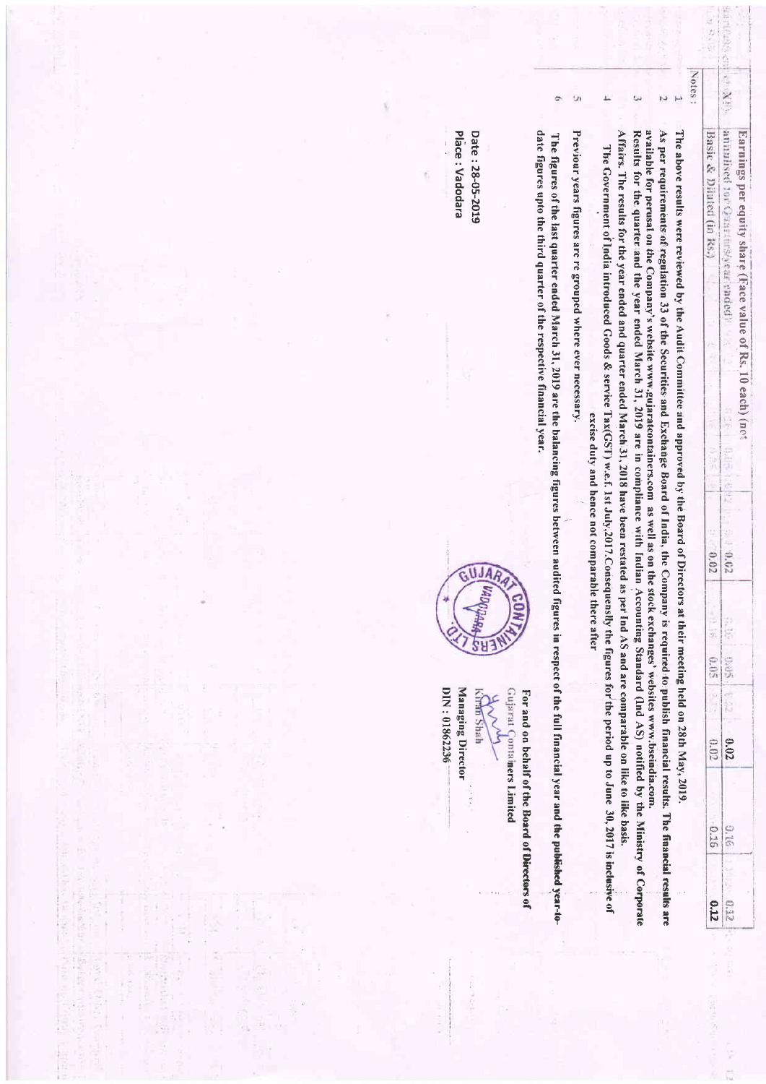| Notes:<br>(注义)()<br>σ<br>annulised tor Guardars (year ended)<br>date figures upto the third quarter of the respective financial year.<br>Affairs. The results for the year ended and quarter ended March.31, 2018 have been restated as per<br>available for perusal on the Company's website www.gujarateontainers.com as well as on the stock exchanges' websites www.bscindia.com.<br>As per requirements of regulation 33 of the Securities and Exchange Board of India, the Company<br>Place: Vadodara<br>Date: 28-05-2019<br>Previour years figures are re grouped where ever necessary.<br>Results for the quarter and the year ended March 31, 2019 are in compliance with Indian Accounting Standard (Ind AS) notified by the Ministry of Corporate<br>Basic & Dijuted (in Rs.)<br>Earnings per equity share (Face value of Rs. 10 each) (net<br>The above results were reviewed by the Audit Committee and approved by the Board of Directors at<br>The figures of the last quarter ended March 31, 2019 are the balancing figures between audited figures in respect of the full financial year and the published year-to-<br>The Government of India introduced Goods & service Tax(GST) w.e.f. 1st July,2017.Consequens<br>j<br>excise duty and hence not comparable there after<br>i<br>F<br>š<br><b>September</b><br>ş<br>0.02<br>0.02<br>$\mathbb{S}^1$<br>Ind AS and are comparable on like to like basis.<br>t their meeting held on 28th May, 2019.<br>ly the figures for the period up to June 30, 2017 is inclusive of<br>20. 12<br>is required to publish financial results. The financial results are<br>35<br>a<br>SRG<br>0.05<br>DIN: 01862236<br>Managing Director<br>(injarat (<br>Kiran Shah<br>For and on behalf of the Board of Directors of<br>EX 18<br>0.02<br>ontainers Limited<br>0.02<br>0.16<br>O.K<br>0.12<br>0.32 |  |  |  |  |
|---------------------------------------------------------------------------------------------------------------------------------------------------------------------------------------------------------------------------------------------------------------------------------------------------------------------------------------------------------------------------------------------------------------------------------------------------------------------------------------------------------------------------------------------------------------------------------------------------------------------------------------------------------------------------------------------------------------------------------------------------------------------------------------------------------------------------------------------------------------------------------------------------------------------------------------------------------------------------------------------------------------------------------------------------------------------------------------------------------------------------------------------------------------------------------------------------------------------------------------------------------------------------------------------------------------------------------------------------------------------------------------------------------------------------------------------------------------------------------------------------------------------------------------------------------------------------------------------------------------------------------------------------------------------------------------------------------------------------------------------------------------------------------------------------------------------------------------------------------|--|--|--|--|
|                                                                                                                                                                                                                                                                                                                                                                                                                                                                                                                                                                                                                                                                                                                                                                                                                                                                                                                                                                                                                                                                                                                                                                                                                                                                                                                                                                                                                                                                                                                                                                                                                                                                                                                                                                                                                                                         |  |  |  |  |
|                                                                                                                                                                                                                                                                                                                                                                                                                                                                                                                                                                                                                                                                                                                                                                                                                                                                                                                                                                                                                                                                                                                                                                                                                                                                                                                                                                                                                                                                                                                                                                                                                                                                                                                                                                                                                                                         |  |  |  |  |
|                                                                                                                                                                                                                                                                                                                                                                                                                                                                                                                                                                                                                                                                                                                                                                                                                                                                                                                                                                                                                                                                                                                                                                                                                                                                                                                                                                                                                                                                                                                                                                                                                                                                                                                                                                                                                                                         |  |  |  |  |
|                                                                                                                                                                                                                                                                                                                                                                                                                                                                                                                                                                                                                                                                                                                                                                                                                                                                                                                                                                                                                                                                                                                                                                                                                                                                                                                                                                                                                                                                                                                                                                                                                                                                                                                                                                                                                                                         |  |  |  |  |
|                                                                                                                                                                                                                                                                                                                                                                                                                                                                                                                                                                                                                                                                                                                                                                                                                                                                                                                                                                                                                                                                                                                                                                                                                                                                                                                                                                                                                                                                                                                                                                                                                                                                                                                                                                                                                                                         |  |  |  |  |
|                                                                                                                                                                                                                                                                                                                                                                                                                                                                                                                                                                                                                                                                                                                                                                                                                                                                                                                                                                                                                                                                                                                                                                                                                                                                                                                                                                                                                                                                                                                                                                                                                                                                                                                                                                                                                                                         |  |  |  |  |
|                                                                                                                                                                                                                                                                                                                                                                                                                                                                                                                                                                                                                                                                                                                                                                                                                                                                                                                                                                                                                                                                                                                                                                                                                                                                                                                                                                                                                                                                                                                                                                                                                                                                                                                                                                                                                                                         |  |  |  |  |
|                                                                                                                                                                                                                                                                                                                                                                                                                                                                                                                                                                                                                                                                                                                                                                                                                                                                                                                                                                                                                                                                                                                                                                                                                                                                                                                                                                                                                                                                                                                                                                                                                                                                                                                                                                                                                                                         |  |  |  |  |
|                                                                                                                                                                                                                                                                                                                                                                                                                                                                                                                                                                                                                                                                                                                                                                                                                                                                                                                                                                                                                                                                                                                                                                                                                                                                                                                                                                                                                                                                                                                                                                                                                                                                                                                                                                                                                                                         |  |  |  |  |

医出血

 $\frac{1}{2}$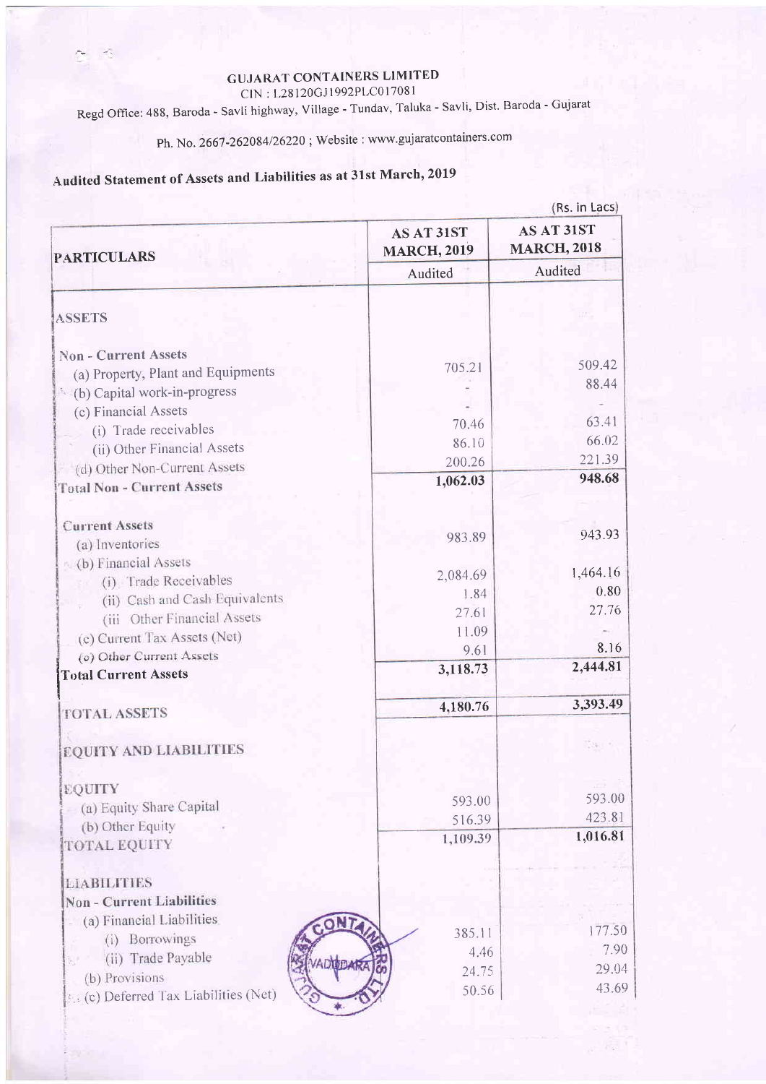### **GUJARAT CONTAINERS LIMITED**

CIN: L28120GJ1992PLC017081

Regd Office: 488, Baroda - Savli highway, Village - Tundav, Taluka - Savli, Dist. Baroda - Gujarat

Ph. No. 2667-262084/26220; Website: www.gujaratcontainers.com

## Audited Statement of Assets and Liabilities as at 31st March, 2019

| (Rs. in Lacs)                               |  |
|---------------------------------------------|--|
| AS AT 31ST<br><b>MARCH, 2018</b><br>Audited |  |
|                                             |  |
|                                             |  |
| 509.42                                      |  |
| 88.44                                       |  |
|                                             |  |
| 63.41                                       |  |
| 66,02                                       |  |
| 221.39                                      |  |
| 948.68                                      |  |
|                                             |  |
| 943.93                                      |  |
|                                             |  |
| 1,464.16                                    |  |
| 0.80                                        |  |
| 27.76                                       |  |
|                                             |  |
| 8.16                                        |  |
| 2,444.81                                    |  |
| 3,393.49                                    |  |
|                                             |  |
|                                             |  |
|                                             |  |
| 593.00                                      |  |
| 423.81                                      |  |
| 1,016.81                                    |  |
|                                             |  |
|                                             |  |
|                                             |  |
|                                             |  |
| 177.50                                      |  |
| 7.90                                        |  |
| 29.04                                       |  |
| 43.69                                       |  |
|                                             |  |
|                                             |  |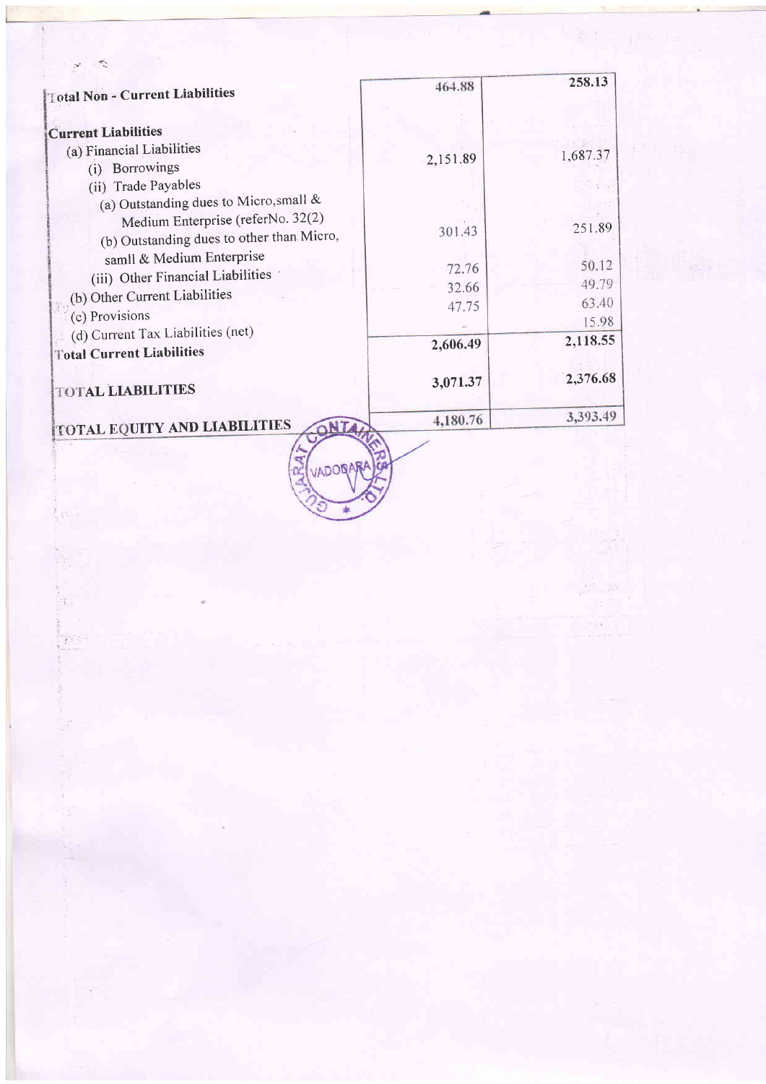| Total Non - Current Liabilities           | 464.88   | 258.13   |
|-------------------------------------------|----------|----------|
| <b>Current Liabilities</b>                |          |          |
| (a) Financial Liabilities                 | 2,151.89 | 1,687.37 |
| Borrowings<br>(i)                         |          |          |
| (ii) Trade Payables                       |          |          |
| (a) Outstanding dues to Micro, small &    |          |          |
| Medium Enterprise (referNo. 32(2)         | 301.43   | 251.89   |
| (b) Outstanding dues to other than Micro, |          |          |
| samll & Medium Enterprise                 | 72.76    | 50.12    |
| (iii) Other Financial Liabilities         |          | 49.79    |
| (b) Other Current Liabilities             | 32.66    | 63.40    |
| (c) Provisions                            | 47.75    | 15.98    |
| (d) Current Tax Liabilities (net)         |          |          |
| <b>Total Current Liabilities</b>          | 2,606.49 | 2,118.55 |
| <b>TOTAL LIABILITIES</b>                  | 3,071.37 | 2,376.68 |
| <b>TOTAL EQUITY AND LIABILITIES</b>       | 4,180.76 | 3,393.49 |

SAI VADORARA

i peter<br>F

 $\label{eq:2.1} \begin{array}{ccccc} e^{i\sqrt{2}} & e^{i\sqrt{2}} & \varepsilon \\ & \varepsilon & & \varepsilon \\ & \varepsilon & & \varepsilon \\ & & \varepsilon & & \varepsilon \end{array}$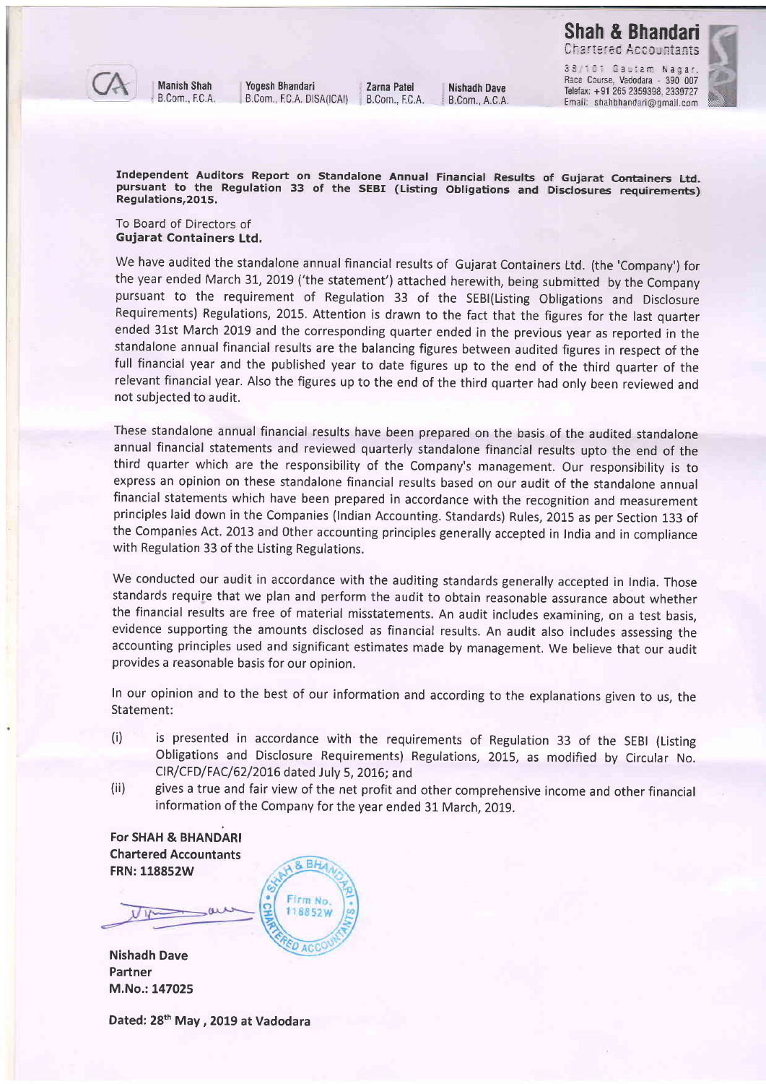

Yogesh Bhandari : Zarna Patel<br>B.Com., EC.A. DISA(ICAI) : B.Com., EC.A. B.Com., EC.A. DISA(ICAI)

Telefax: +91 265 2359398, 2339727 Email: shahbhandari@gmail.com



Independent Auditors Report on Standalone Annual Financial Results of Gujarat Containers Ltd. pursuant to the Regulation 33 of the SEBI (Listing Obligations and Disclosures requirements) Regulations,2015.

To Board of Directors of Gujarat Containers Ltd.

We have audited the standalone annual financial results of Gujarat Containers Ltd. (the 'Company') for the year ended March 31, 2019 ('the statement') attached herewith, being submitted by the Company pursuant to the requirement of Regulation 33 of the SEBI(Listing Obligations and Disclosure Requirements) Regulations,2015. Attention is drawn to the fact that the figures for the last quarter ended 31st March 2019 and the corresponding quarter ended in the previous year as reported in the standalone annual financial results are the balancing figures between audited figures in respect of the full financial year and the published year to date figures up to the end of the third quarter of the relevant financial year. Also the figures up to the end of the third quarter had only been reviewed and not subjected to audit.

These standalone annual financial results have been prepared on the basis of the audited standalone annual financial statements and reviewed quarterly standalone financial results upto the end of the third quarter which are the responsibility of the Company's management. Our responsibility is to express an opinion on these standalone financial results based on our audit of the standalone annual financial statements which have been prepared in accordance with the recognition and measurement principles laid down in the Companies (lndian Accounting. Standards) Rules, 2015 as per Section 133 of the Companies Act. 2013 and Other accounting principles generally accepted in India and in compliance with Regulation 33 of the Listing Regulations.

We conducted our audit in accordance with the auditing standards generally accepted in India. Those standards require that we plan and perform the audit to obtain reasonable assurance about whether the financial results are free of material misstatements. An audit includes examining, on a test basis, evidence supporting the amounts disclosed as financial results. An audit also includes assessing the accounting principles used and significant estimates made by management. We believe that our audit provides a reasonable basis for our opinion.

In our opinion and to the best of our information and according to the explanations given to us, the Statement:

- (i) is presented in accordance with the requirements of Regulation 33 of the SEB| (Listing Obligations and Disclosure Requirements) Regulations, 2015, as modified by Circular No. CIR/CFD/FAC/62/20t6 dated July 5, 2016; and
- (ii) gives a true and fair view of the net profit and other comprehensive income and other financial information of the Company for the year ended 31 March, 2019.

B<sub>b</sub>

Firm No. 118852W

ACC

For SHAH & BHANDARI Chartered Accountants FRN:118852W

Nishadh Dave Partner M.No.: 147025

Dated: 28<sup>th</sup> May, 2019 at Vadodara